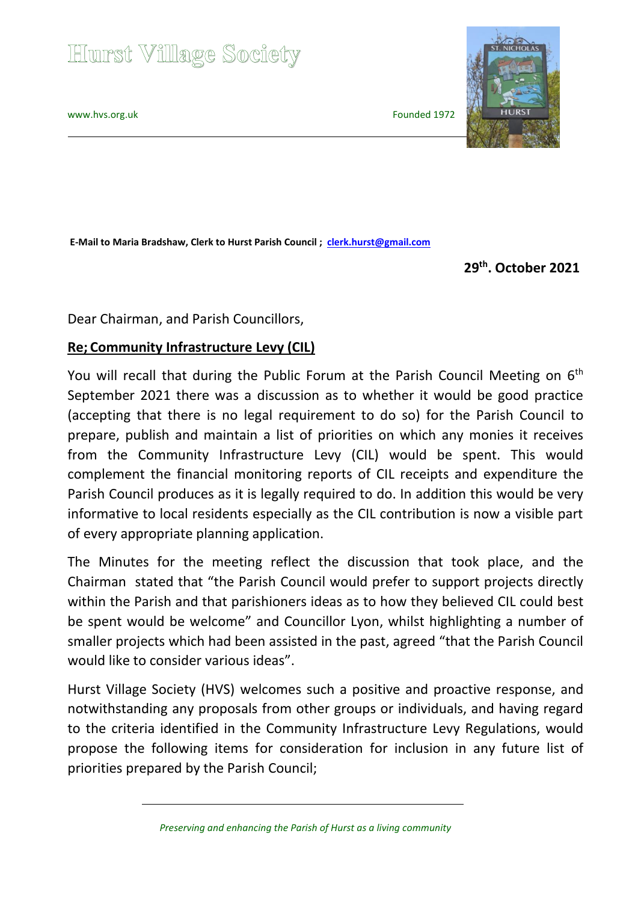# **Hurst Village Society**

[www.hvs.org.uk](http://www.hvs.org.uk/) Founded 1972

**E-Mail to Maria Bradshaw, Clerk to Hurst Parish Council ; [clerk.hurst@gmail.com](mailto:clerk.hurst@gmail.com)**

 **29th . October 2021**

Dear Chairman, and Parish Councillors,

#### **Re; Community Infrastructure Levy (CIL)**

You will recall that during the Public Forum at the Parish Council Meeting on 6<sup>th</sup> September 2021 there was a discussion as to whether it would be good practice (accepting that there is no legal requirement to do so) for the Parish Council to prepare, publish and maintain a list of priorities on which any monies it receives from the Community Infrastructure Levy (CIL) would be spent. This would complement the financial monitoring reports of CIL receipts and expenditure the Parish Council produces as it is legally required to do. In addition this would be very informative to local residents especially as the CIL contribution is now a visible part of every appropriate planning application.

The Minutes for the meeting reflect the discussion that took place, and the Chairman stated that "the Parish Council would prefer to support projects directly within the Parish and that parishioners ideas as to how they believed CIL could best be spent would be welcome" and Councillor Lyon, whilst highlighting a number of smaller projects which had been assisted in the past, agreed "that the Parish Council would like to consider various ideas".

Hurst Village Society (HVS) welcomes such a positive and proactive response, and notwithstanding any proposals from other groups or individuals, and having regard to the criteria identified in the Community Infrastructure Levy Regulations, would propose the following items for consideration for inclusion in any future list of priorities prepared by the Parish Council;

 *Preserving and enhancing the Parish of Hurst as a living community*